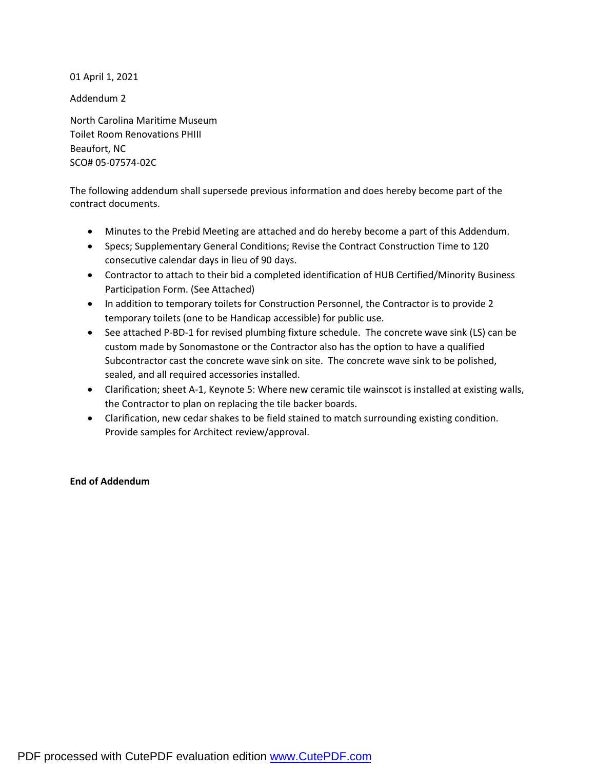01 April 1, 2021

Addendum 2

North Carolina Maritime Museum Toilet Room Renovations PHIII Beaufort, NC SCO# 05-07574-02C

The following addendum shall supersede previous information and does hereby become part of the contract documents.

- Minutes to the Prebid Meeting are attached and do hereby become a part of this Addendum.
- Specs; Supplementary General Conditions; Revise the Contract Construction Time to 120 consecutive calendar days in lieu of 90 days.
- Contractor to attach to their bid a completed identification of HUB Certified/Minority Business Participation Form. (See Attached)
- In addition to temporary toilets for Construction Personnel, the Contractor is to provide 2 temporary toilets (one to be Handicap accessible) for public use.
- See attached P-BD-1 for revised plumbing fixture schedule. The concrete wave sink (LS) can be custom made by Sonomastone or the Contractor also has the option to have a qualified Subcontractor cast the concrete wave sink on site. The concrete wave sink to be polished, sealed, and all required accessories installed.
- Clarification; sheet A-1, Keynote 5: Where new ceramic tile wainscot is installed at existing walls, the Contractor to plan on replacing the tile backer boards.
- Clarification, new cedar shakes to be field stained to match surrounding existing condition. Provide samples for Architect review/approval.

## **End of Addendum**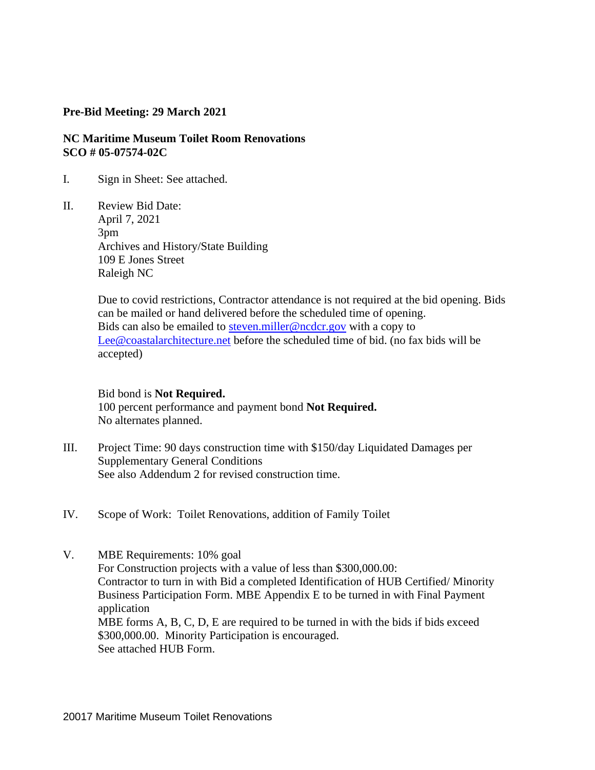## **Pre-Bid Meeting: 29 March 2021**

## **NC Maritime Museum Toilet Room Renovations SCO # 05-07574-02C**

- I. Sign in Sheet: See attached.
- II. Review Bid Date: April 7, 2021 3pm Archives and History/State Building 109 E Jones Street Raleigh NC

Due to covid restrictions, Contractor attendance is not required at the bid opening. Bids can be mailed or hand delivered before the scheduled time of opening. Bids can also be emailed to [steven.miller@ncdcr.gov](mailto:steven.miller@ncdcr.gov) with a copy to [Lee@coastalarchitecture.net](mailto:Lee@coastalarchitecture.net) before the scheduled time of bid. (no fax bids will be accepted)

#### Bid bond is **Not Required.**

 100 percent performance and payment bond **Not Required.** No alternates planned.

- III. Project Time: 90 days construction time with \$150/day Liquidated Damages per Supplementary General Conditions See also Addendum 2 for revised construction time.
- IV. Scope of Work: Toilet Renovations, addition of Family Toilet
- V. MBE Requirements: 10% goal For Construction projects with a value of less than \$300,000.00: Contractor to turn in with Bid a completed Identification of HUB Certified/ Minority Business Participation Form. MBE Appendix E to be turned in with Final Payment application MBE forms A, B, C, D, E are required to be turned in with the bids if bids exceed \$300,000.00. Minority Participation is encouraged. See attached HUB Form.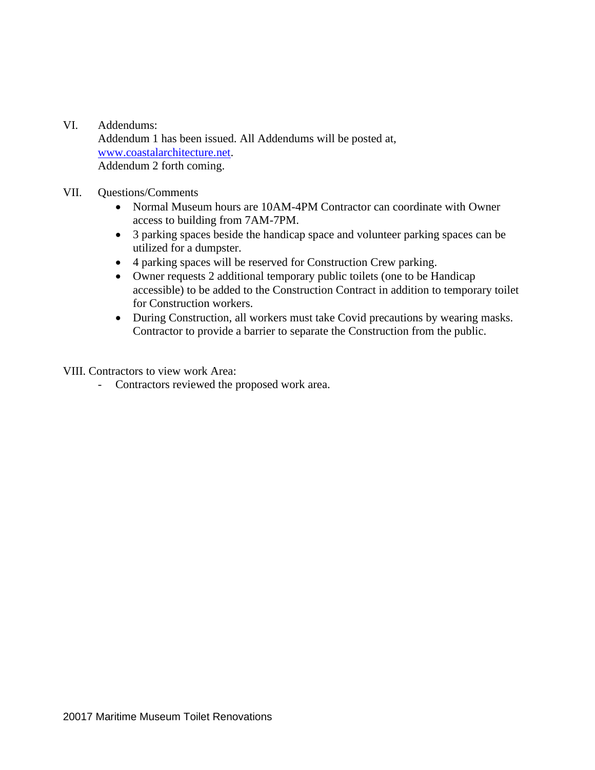# VI. Addendums:

Addendum 1 has been issued. All Addendums will be posted at, [www.coastalarchitecture.net.](http://www.coastalarchitecture.net/) Addendum 2 forth coming.

# VII. Questions/Comments

- Normal Museum hours are 10AM-4PM Contractor can coordinate with Owner access to building from 7AM-7PM.
- 3 parking spaces beside the handicap space and volunteer parking spaces can be utilized for a dumpster.
- 4 parking spaces will be reserved for Construction Crew parking.
- Owner requests 2 additional temporary public toilets (one to be Handicap accessible) to be added to the Construction Contract in addition to temporary toilet for Construction workers.
- During Construction, all workers must take Covid precautions by wearing masks. Contractor to provide a barrier to separate the Construction from the public.

VIII. Contractors to view work Area:

- Contractors reviewed the proposed work area.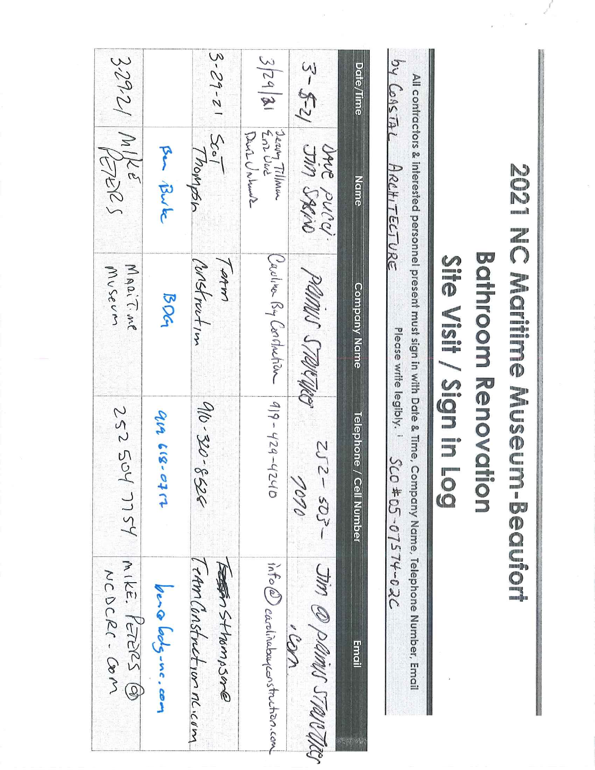|                  | by COASTAL ARCHITECTURE                  |                     | All contractors & interested personnel present must sign in with Date & Time, Company Name, Telephone Number, Email<br>Please write legibly. 1 SCO<br><b>\$05-07574-026</b> |                                                               |
|------------------|------------------------------------------|---------------------|-----------------------------------------------------------------------------------------------------------------------------------------------------------------------------|---------------------------------------------------------------|
| <b>Date/Time</b> | Name                                     | <b>Company Name</b> | <b>Telephone / Cell Number</b>                                                                                                                                              | <b>Email</b>                                                  |
|                  | 3-5-2) JANE PULOJ                        | PARTIUS STRUCTURE   | $252 - 503$<br>0606                                                                                                                                                         | Jim @ planus STOUTING<br>VRD "                                |
| 3/29/81          | Jeran Tillman<br>Ent Verk<br>Bure Untunt | Caulina By Corrhala | $99 - 429 - 4240$                                                                                                                                                           | $\inf_{\mathbf{b}} e(\mathcal{D})$ earolinebaycorstrutton.com |
|                  | 3-29-21 Sci<br>3-29-21 Sci               | Tarm<br>MISFreetin  | 910-320-8526                                                                                                                                                                | TramConstruction never<br>Server StrompSone                   |
|                  | Ber Buk                                  | <b>BOG</b>          | $946 - 819$                                                                                                                                                                 | perce looks-ne.com                                            |
|                  | 329.21 MIKE                              | MADICME<br>Museum   | 252 504 7754                                                                                                                                                                | MIKE. PETERS @<br>NCDCRC-COM                                  |

2021 NG MOINING MUSCUM-BEQUION **Bathroom Renovation** 

L

Site Visit / Sign in Log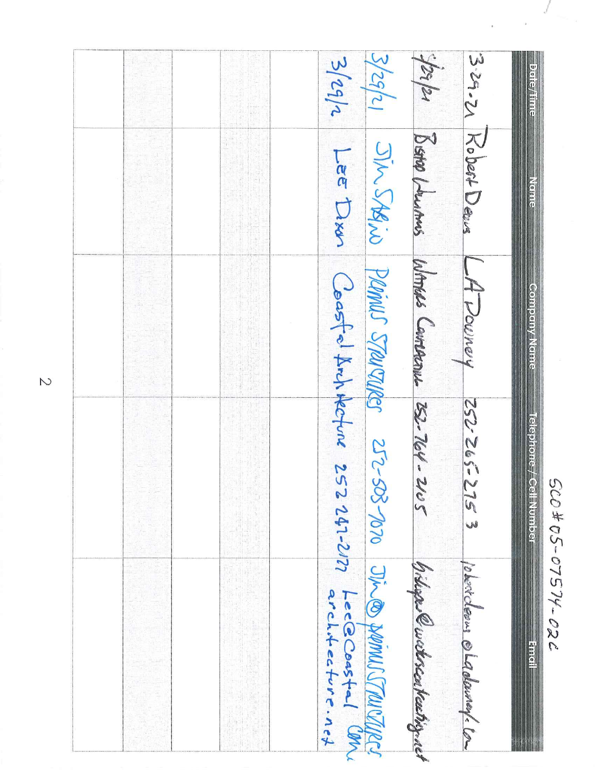**york** 3.29.21 Robert Dans LADOWNey  $2/29/2$  $3/26/2$ **Bielicy illinies** Betro Lumons Whiles Conserve B2.764-205 SIN SABINO PRIMUS STAURURES 252-503-7070 JINO AMMUSTAURURES Lee Dien Coast-el Architecture 2522041-2122 Lececoastal Com Contipeiny Neine 252-265-2753 Telephone / Cell-Number SCO # 05-07574-022 bisliga Cwitchcolfcchigriet phoricleons elaphonent. Un **Exports** 

 $\sim$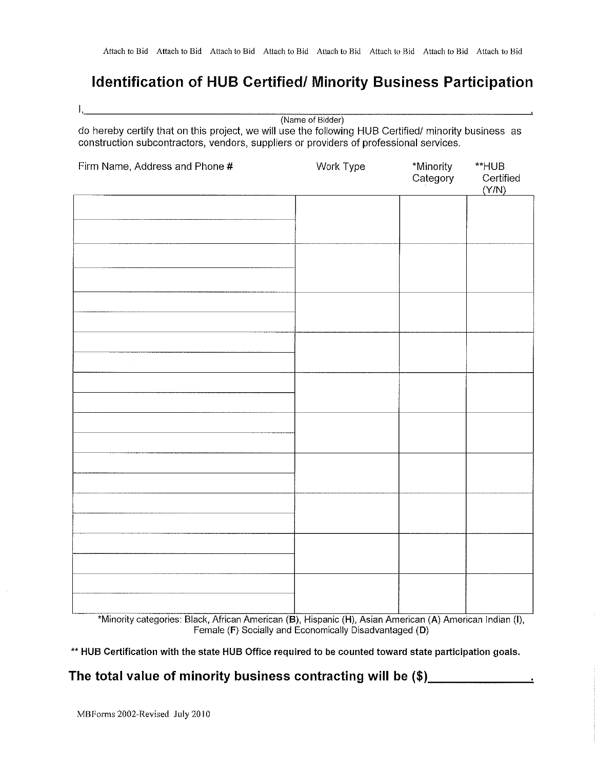# **Identification of HUB Certified/ Minority Business Participation**

(Name of Bidder) do hereby certify that on this project, we will use the following HUB Certified/ minority business as construction subcontractors, vendors, suppliers or providers of professional services.

| Firm Name, Address and Phone # | Work Type | *Minority<br>Category | $\mathbf{``}\mathsf{HUB}$<br>Certified<br>(Y/N) |
|--------------------------------|-----------|-----------------------|-------------------------------------------------|
|                                |           |                       |                                                 |
|                                |           |                       |                                                 |
|                                |           |                       |                                                 |
|                                |           |                       |                                                 |
|                                |           |                       |                                                 |
|                                |           |                       |                                                 |
|                                |           |                       |                                                 |
|                                |           |                       |                                                 |
|                                |           |                       |                                                 |
|                                |           |                       |                                                 |
|                                |           |                       |                                                 |
|                                |           |                       |                                                 |
|                                |           |                       |                                                 |
|                                |           |                       |                                                 |

\*Minority categories: Black, African American (B), Hispanic (H), Asian American (A) American Indian (I), Female (F) Socially and Economically Disadvantaged (D)

\*\* HUB Certification with the state HUB Office required to be counted toward state participation goals.

# The total value of minority business contracting will be (\$)\_\_\_\_\_\_\_\_\_\_\_\_\_\_\_\_\_\_\_

 $\mathbf{I}$ .